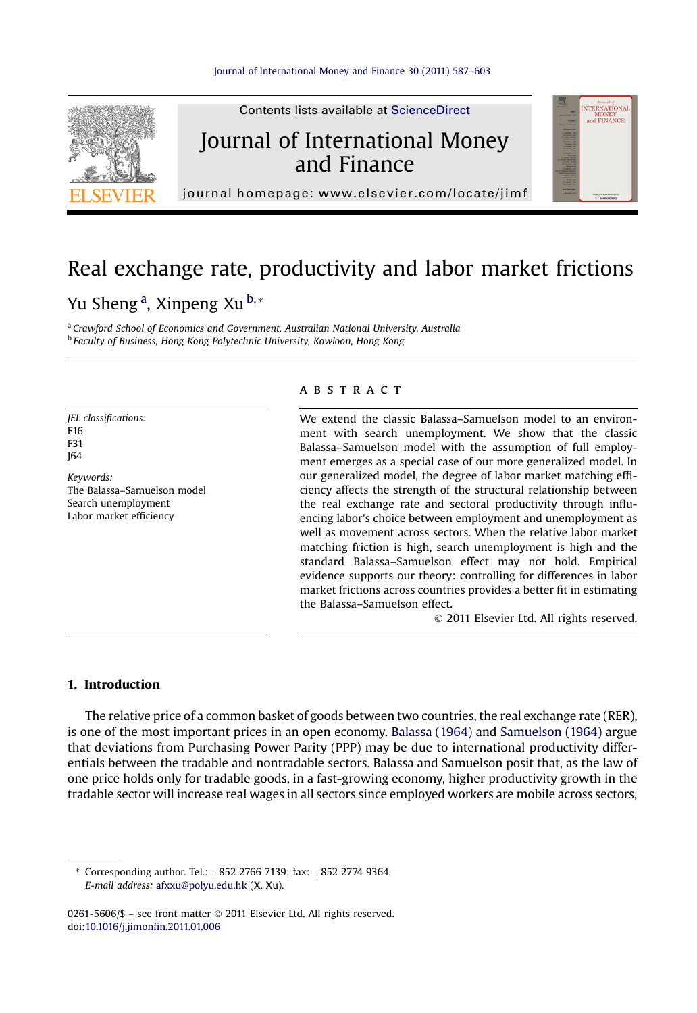

## Real exchange rate, productivity and labor market frictions

### Yu Sheng<sup>a</sup>, Xinpeng Xu<sup>b,\*</sup>

<sup>a</sup> Crawford School of Economics and Government, Australian National University, Australia **b Faculty of Business, Hong Kong Polytechnic University, Kowloon, Hong Kong** 

JEL classifications: F16 F31 J64

Keywords: The Balassa–Samuelson model Search unemployment Labor market efficiency

#### **ABSTRACT**

We extend the classic Balassa–Samuelson model to an environment with search unemployment. We show that the classic Balassa–Samuelson model with the assumption of full employment emerges as a special case of our more generalized model. In our generalized model, the degree of labor market matching efficiency affects the strength of the structural relationship between the real exchange rate and sectoral productivity through influencing labor's choice between employment and unemployment as well as movement across sectors. When the relative labor market matching friction is high, search unemployment is high and the standard Balassa–Samuelson effect may not hold. Empirical evidence supports our theory: controlling for differences in labor market frictions across countries provides a better fit in estimating the Balassa–Samuelson effect.

2011 Elsevier Ltd. All rights reserved.

#### 1. Introduction

The relative price of a common basket of goods between two countries, the real exchange rate (RER), is one of the most important prices in an open economy. [Balassa \(1964\)](#page--1-0) and [Samuelson \(1964\)](#page--1-0) argue that deviations from Purchasing Power Parity (PPP) may be due to international productivity differentials between the tradable and nontradable sectors. Balassa and Samuelson posit that, as the law of one price holds only for tradable goods, in a fast-growing economy, higher productivity growth in the tradable sector will increase real wages in all sectors since employed workers are mobile across sectors,

\* Corresponding author. Tel.:  $+852$  2766 7139; fax:  $+852$  2774 9364. E-mail address: [afxxu@polyu.edu.hk](mailto:afxxu@polyu.edu.hk) (X. Xu).

0261-5606/\$ - see front matter © 2011 Elsevier Ltd. All rights reserved. doi[:10.1016/j.jimon](http://dx.doi.org/10.1016/j.jimonfin.2011.01.006)fin.2011.01.006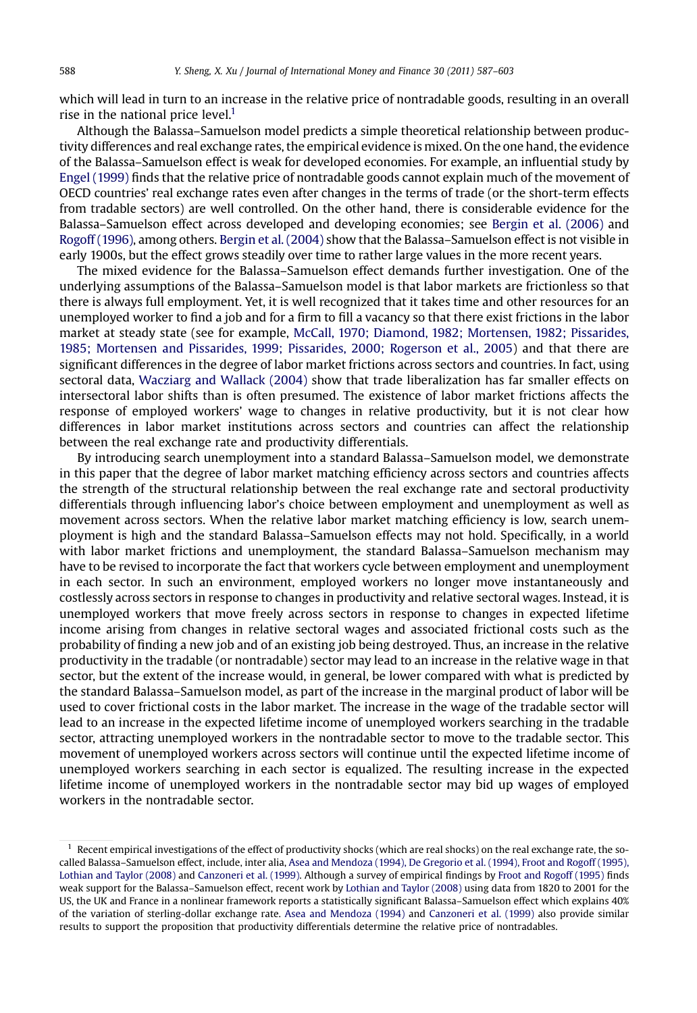which will lead in turn to an increase in the relative price of nontradable goods, resulting in an overall rise in the national price level. $<sup>1</sup>$ </sup>

Although the Balassa–Samuelson model predicts a simple theoretical relationship between productivity differences and real exchange rates, the empirical evidence is mixed. On the one hand, the evidence of the Balassa–Samuelson effect is weak for developed economies. For example, an influential study by [Engel \(1999\)](#page--1-0) finds that the relative price of nontradable goods cannot explain much of the movement of OECD countries' real exchange rates even after changes in the terms of trade (or the short-term effects from tradable sectors) are well controlled. On the other hand, there is considerable evidence for the Balassa–Samuelson effect across developed and developing economies; see [Bergin et al. \(2006\)](#page--1-0) and [Rogoff \(1996\)](#page--1-0), among others. [Bergin et al. \(2004\)](#page--1-0) show that the Balassa–Samuelson effect is not visible in early 1900s, but the effect grows steadily over time to rather large values in the more recent years.

The mixed evidence for the Balassa–Samuelson effect demands further investigation. One of the underlying assumptions of the Balassa–Samuelson model is that labor markets are frictionless so that there is always full employment. Yet, it is well recognized that it takes time and other resources for an unemployed worker to find a job and for a firm to fill a vacancy so that there exist frictions in the labor market at steady state (see for example, [McCall, 1970; Diamond, 1982; Mortensen, 1982; Pissarides,](#page--1-0) [1985; Mortensen and Pissarides, 1999; Pissarides, 2000; Rogerson et al., 2005](#page--1-0)) and that there are significant differences in the degree of labor market frictions across sectors and countries. In fact, using sectoral data, [Wacziarg and Wallack \(2004\)](#page--1-0) show that trade liberalization has far smaller effects on intersectoral labor shifts than is often presumed. The existence of labor market frictions affects the response of employed workers' wage to changes in relative productivity, but it is not clear how differences in labor market institutions across sectors and countries can affect the relationship between the real exchange rate and productivity differentials.

By introducing search unemployment into a standard Balassa–Samuelson model, we demonstrate in this paper that the degree of labor market matching efficiency across sectors and countries affects the strength of the structural relationship between the real exchange rate and sectoral productivity differentials through influencing labor's choice between employment and unemployment as well as movement across sectors. When the relative labor market matching efficiency is low, search unemployment is high and the standard Balassa–Samuelson effects may not hold. Specifically, in a world with labor market frictions and unemployment, the standard Balassa–Samuelson mechanism may have to be revised to incorporate the fact that workers cycle between employment and unemployment in each sector. In such an environment, employed workers no longer move instantaneously and costlessly across sectors in response to changes in productivity and relative sectoral wages. Instead, it is unemployed workers that move freely across sectors in response to changes in expected lifetime income arising from changes in relative sectoral wages and associated frictional costs such as the probability of finding a new job and of an existing job being destroyed. Thus, an increase in the relative productivity in the tradable (or nontradable) sector may lead to an increase in the relative wage in that sector, but the extent of the increase would, in general, be lower compared with what is predicted by the standard Balassa–Samuelson model, as part of the increase in the marginal product of labor will be used to cover frictional costs in the labor market. The increase in the wage of the tradable sector will lead to an increase in the expected lifetime income of unemployed workers searching in the tradable sector, attracting unemployed workers in the nontradable sector to move to the tradable sector. This movement of unemployed workers across sectors will continue until the expected lifetime income of unemployed workers searching in each sector is equalized. The resulting increase in the expected lifetime income of unemployed workers in the nontradable sector may bid up wages of employed workers in the nontradable sector.

 $1$  Recent empirical investigations of the effect of productivity shocks (which are real shocks) on the real exchange rate, the socalled Balassa–Samuelson effect, include, inter alia, [Asea and Mendoza \(1994\), De Gregorio et al. \(1994\), Froot and Rogoff \(1995\),](#page--1-0) [Lothian and Taylor \(2008\)](#page--1-0) and [Canzoneri et al. \(1999\)](#page--1-0). Although a survey of empirical findings by [Froot and Rogoff \(1995\)](#page--1-0) finds weak support for the Balassa–Samuelson effect, recent work by [Lothian and Taylor \(2008\)](#page--1-0) using data from 1820 to 2001 for the US, the UK and France in a nonlinear framework reports a statistically significant Balassa–Samuelson effect which explains 40% of the variation of sterling-dollar exchange rate. [Asea and Mendoza \(1994\)](#page--1-0) and [Canzoneri et al. \(1999\)](#page--1-0) also provide similar results to support the proposition that productivity differentials determine the relative price of nontradables.